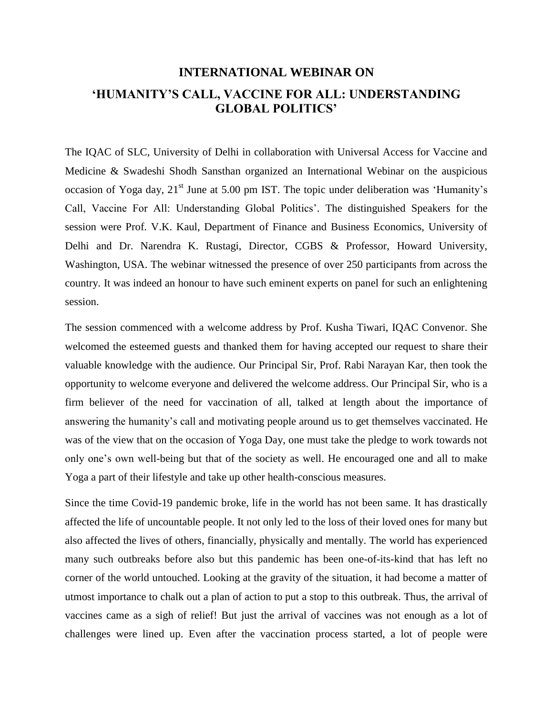## **INTERNATIONAL WEBINAR ON 'HUMANITY'S CALL, VACCINE FOR ALL: UNDERSTANDING GLOBAL POLITICS'**

The IQAC of SLC, University of Delhi in collaboration with Universal Access for Vaccine and Medicine & Swadeshi Shodh Sansthan organized an International Webinar on the auspicious occasion of Yoga day,  $21<sup>st</sup>$  June at 5.00 pm IST. The topic under deliberation was 'Humanity's Call, Vaccine For All: Understanding Global Politics'. The distinguished Speakers for the session were Prof. V.K. Kaul, Department of Finance and Business Economics, University of Delhi and Dr. Narendra K. Rustagi, Director, CGBS & Professor, Howard University, Washington, USA. The webinar witnessed the presence of over 250 participants from across the country. It was indeed an honour to have such eminent experts on panel for such an enlightening session.

The session commenced with a welcome address by Prof. Kusha Tiwari, IQAC Convenor. She welcomed the esteemed guests and thanked them for having accepted our request to share their valuable knowledge with the audience. Our Principal Sir, Prof. Rabi Narayan Kar, then took the opportunity to welcome everyone and delivered the welcome address. Our Principal Sir, who is a firm believer of the need for vaccination of all, talked at length about the importance of answering the humanity's call and motivating people around us to get themselves vaccinated. He was of the view that on the occasion of Yoga Day, one must take the pledge to work towards not only one's own well-being but that of the society as well. He encouraged one and all to make Yoga a part of their lifestyle and take up other health-conscious measures.

Since the time Covid-19 pandemic broke, life in the world has not been same. It has drastically affected the life of uncountable people. It not only led to the loss of their loved ones for many but also affected the lives of others, financially, physically and mentally. The world has experienced many such outbreaks before also but this pandemic has been one-of-its-kind that has left no corner of the world untouched. Looking at the gravity of the situation, it had become a matter of utmost importance to chalk out a plan of action to put a stop to this outbreak. Thus, the arrival of vaccines came as a sigh of relief! But just the arrival of vaccines was not enough as a lot of challenges were lined up. Even after the vaccination process started, a lot of people were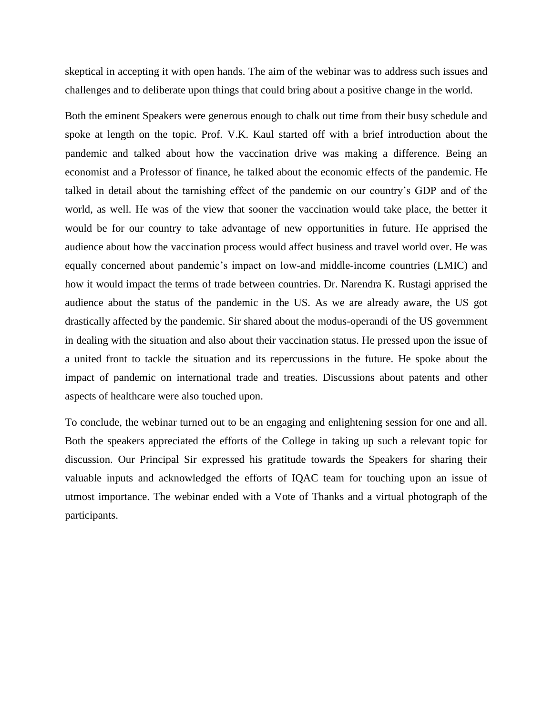skeptical in accepting it with open hands. The aim of the webinar was to address such issues and challenges and to deliberate upon things that could bring about a positive change in the world.

Both the eminent Speakers were generous enough to chalk out time from their busy schedule and spoke at length on the topic. Prof. V.K. Kaul started off with a brief introduction about the pandemic and talked about how the vaccination drive was making a difference. Being an economist and a Professor of finance, he talked about the economic effects of the pandemic. He talked in detail about the tarnishing effect of the pandemic on our country's GDP and of the world, as well. He was of the view that sooner the vaccination would take place, the better it would be for our country to take advantage of new opportunities in future. He apprised the audience about how the vaccination process would affect business and travel world over. He was equally concerned about pandemic's impact on low-and middle-income countries (LMIC) and how it would impact the terms of trade between countries. Dr. Narendra K. Rustagi apprised the audience about the status of the pandemic in the US. As we are already aware, the US got drastically affected by the pandemic. Sir shared about the modus-operandi of the US government in dealing with the situation and also about their vaccination status. He pressed upon the issue of a united front to tackle the situation and its repercussions in the future. He spoke about the impact of pandemic on international trade and treaties. Discussions about patents and other aspects of healthcare were also touched upon.

To conclude, the webinar turned out to be an engaging and enlightening session for one and all. Both the speakers appreciated the efforts of the College in taking up such a relevant topic for discussion. Our Principal Sir expressed his gratitude towards the Speakers for sharing their valuable inputs and acknowledged the efforts of IQAC team for touching upon an issue of utmost importance. The webinar ended with a Vote of Thanks and a virtual photograph of the participants.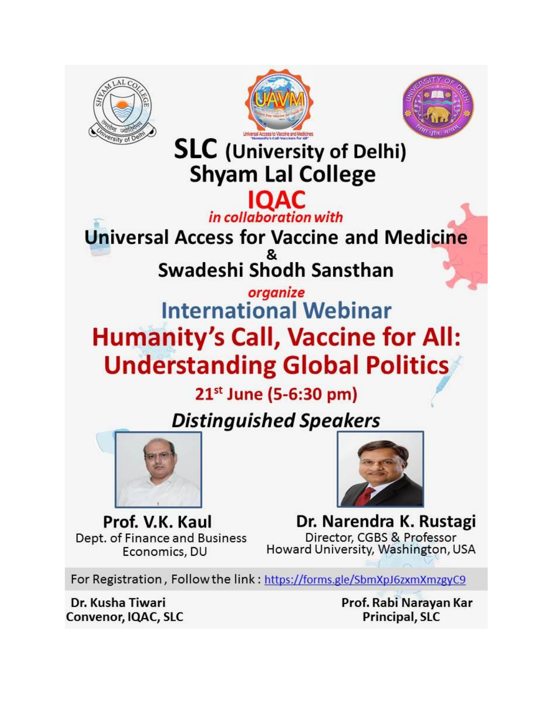





**SLC** (University of Delhi) **Shyam Lal College** 

**IQAC**<br>*in collaboration with* **Universal Access for Vaccine and Medicine** Swadeshi Shodh Sansthan

## organize **International Webinar Humanity's Call, Vaccine for All: Understanding Global Politics**

21<sup>st</sup> June (5-6:30 pm)

## **Distinguished Speakers**





Prof. V.K. Kaul Dept. of Finance and Business Economics, DU

Dr. Narendra K. Rustagi Director, CGBS & Professor Howard University, Washington, USA

For Registration, Follow the link: https://forms.gle/SbmXpJ6zxmXmzgyC9

Dr. Kusha Tiwari Convenor, IQAC, SLC Prof. Rabi Narayan Kar Principal, SLC